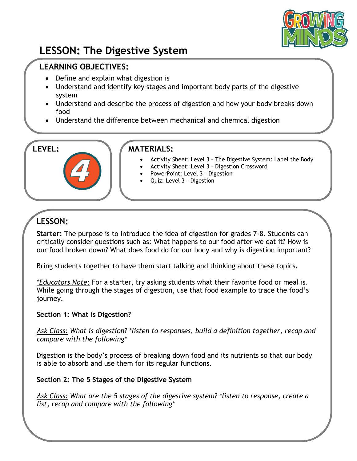

# **LESSON: The Digestive System**

## **LEARNING OBJECTIVES:**

- Define and explain what digestion is
- Understand and identify key stages and important body parts of the digestive system
- Understand and describe the process of digestion and how your body breaks down food
- Understand the difference between mechanical and chemical digestion

### **LEVEL: MATERIALS:**

- Activity Sheet: Level 3 The Digestive System: Label the Body
- Activity Sheet: Level 3 Digestion Crossword
- PowerPoint: Level 3 Digestion
- Quiz: Level 3 Digestion

# **LESSON:**

**Starter:** The purpose is to introduce the idea of digestion for grades 7-8. Students can critically consider questions such as: What happens to our food after we eat it? How is our food broken down? What does food do for our body and why is digestion important?

Bring students together to have them start talking and thinking about these topics.

*\*Educators Note:* For a starter, try asking students what their favorite food or meal is. While going through the stages of digestion, use that food example to trace the food's journey.

#### **Section 1: What is Digestion?**

*Ask Class: What is digestion? \*listen to responses, build a definition together, recap and compare with the following\**

Digestion is the body's process of breaking down food and its nutrients so that our body is able to absorb and use them for its regular functions.

#### **Section 2: The 5 Stages of the Digestive System**

*Ask Class: What are the 5 stages of the digestive system? \*listen to response, create a list, recap and compare with the following\**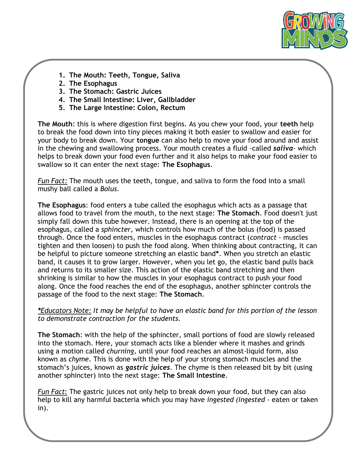

- **1. The Mouth: Teeth, Tongue, Saliva**
- **2. The Esophagus**
- **3. The Stomach: Gastric Juices**
- **4. The Small Intestine: Liver, Gallbladder**
- **5. The Large Intestine: Colon, Rectum**

**The Mouth**: this is where digestion first begins. As you chew your food, your **teeth** help to break the food down into tiny pieces making it both easier to swallow and easier for your body to break down. Your **tongue** can also help to move your food around and assist in the chewing and swallowing process. Your mouth creates a fluid -called *saliva*- which helps to break down your food even further and it also helps to make your food easier to swallow so it can enter the next stage: **The Esophagus**.

*Fun Fact:* The mouth uses the teeth, tongue, and saliva to form the food into a small mushy ball called a *Bolus.*

**The Esophagus**: food enters a tube called the esophagus which acts as a passage that allows food to travel from the mouth, to the next stage: **The Stomach**. Food doesn't just simply fall down this tube however. Instead, there is an opening at the top of the esophagus, called a *sphincter,* which controls how much of the bolus (food) is passed through. Once the food enters, muscles in the esophagus contract (*contract* - muscles tighten and then loosen) to push the food along. When thinking about contracting, it can be helpful to picture someone stretching an elastic band**\***. When you stretch an elastic band, it causes it to grow larger. However, when you let go, the elastic band pulls back and returns to its smaller size. This action of the elastic band stretching and then shrinking is similar to how the muscles in your esophagus contract to push your food along. Once the food reaches the end of the esophagus, another sphincter controls the passage of the food to the next stage: **The Stomach**.

*\*Educators Note: It may be helpful to have an elastic band for this portion of the lesson to demonstrate contraction for the students.*

**The Stomach**: with the help of the sphincter, small portions of food are slowly released into the stomach. Here, your stomach acts like a blender where it mashes and grinds using a motion called *churning,* until your food reaches an almost-liquid form, also known as *chyme*. This is done with the help of your strong stomach muscles and the stomach's juices, known as *gastric juices*. The chyme is then released bit by bit (using another sphincter) into the next stage: **The Small Intestine**.

*Fun Fact*: The gastric juices not only help to break down your food, but they can also help to kill any harmful bacteria which you may have *ingested (ingested -* eaten or taken in).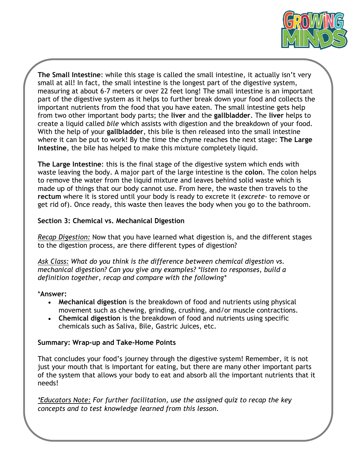

**The Small Intestine**: while this stage is called the small intestine, it actually isn't very small at all! In fact, the small intestine is the longest part of the digestive system, measuring at about 6-7 meters or over 22 feet long! The small intestine is an important part of the digestive system as it helps to further break down your food and collects the important nutrients from the food that you have eaten. The small intestine gets help from two other important body parts; the **liver** and the **gallbladder**. The **liver** helps to create a liquid called *bile* which assists with digestion and the breakdown of your food. With the help of your **gallbladder**, this bile is then released into the small intestine where it can be put to work! By the time the chyme reaches the next stage: **The Large Intestine**, the bile has helped to make this mixture completely liquid.

**The Large Intestine**: this is the final stage of the digestive system which ends with waste leaving the body. A major part of the large intestine is the **colon**. The colon helps to remove the water from the liquid mixture and leaves behind solid waste which is made up of things that our body cannot use. From here, the waste then travels to the **rectum** where it is stored until your body is ready to excrete it (*excrete*- to remove or get rid of). Once ready, this waste then leaves the body when you go to the bathroom.

#### **Section 3: Chemical vs. Mechanical Digestion**

*Recap Digestion:* Now that you have learned what digestion is, and the different stages to the digestion process, are there different types of digestion?

*Ask Class: What do you think is the difference between chemical digestion vs. mechanical digestion? Can you give any examples? \*listen to responses, build a definition together, recap and compare with the following\**

#### \***Answer:**

- **Mechanical digestion** is the breakdown of food and nutrients using physical movement such as chewing, grinding, crushing, and/or muscle contractions.
- **Chemical digestion** is the breakdown of food and nutrients using specific chemicals such as Saliva, Bile, Gastric Juices, etc.

#### **Summary: Wrap-up and Take-Home Points**

That concludes your food's journey through the digestive system! Remember, it is not just your mouth that is important for eating, but there are many other important parts of the system that allows your body to eat and absorb all the important nutrients that it needs!

*\*Educators Note: For further facilitation, use the assigned quiz to recap the key concepts and to test knowledge learned from this lesson.*